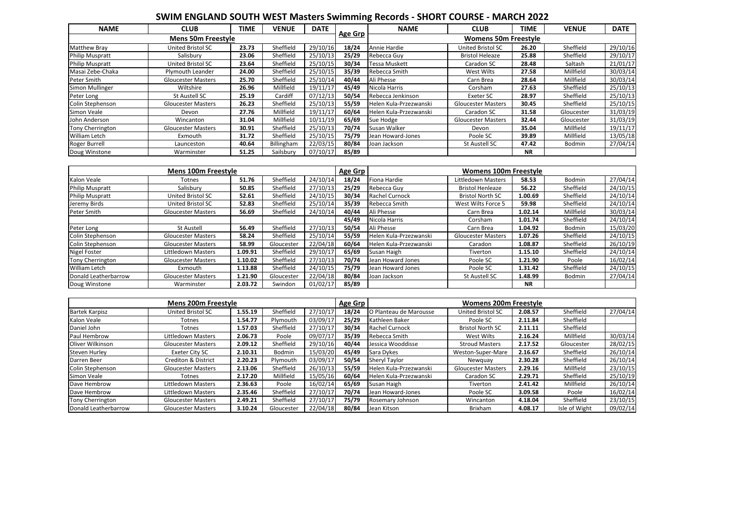## **SWIM ENGLAND SOUTH WEST Masters Swimming Records - SHORT COURSE - MARCH 2022**

| <b>NAME</b>            | <b>CLUB</b>               | TIME  | <b>VENUE</b> | <b>DATE</b> |                | <b>NAME</b>            | <b>CLUB</b>                 | TIME      | <b>VENUE</b> | <b>DATE</b> |
|------------------------|---------------------------|-------|--------------|-------------|----------------|------------------------|-----------------------------|-----------|--------------|-------------|
|                        | <b>Mens 50m Freestyle</b> |       |              |             | <b>Age Grp</b> |                        | <b>Womens 50m Freestyle</b> |           |              |             |
| <b>Matthew Bray</b>    | United Bristol SC         | 23.73 | Sheffield    | 29/10/16    | 18/24          | Annie Hardie           | <b>United Bristol SC</b>    | 26.20     | Sheffield    | 29/10/16    |
| <b>Philip Muspratt</b> | Salisbury                 | 23.06 | Sheffield    | 25/10/13    | 25/29          | Rebecca Guy            | <b>Bristol Heleaze</b>      | 25.88     | Sheffield    | 29/10/17    |
| <b>Philip Muspratt</b> | United Bristol SC         | 23.64 | Sheffield    | 25/10/15    | 30/34          | <b>Tessa Muskett</b>   | Caradon SC                  | 28.48     | Saltash      | 21/01/17    |
| Masai Zebe-Chaka       | Plymouth Leander          | 24.00 | Sheffield    | 25/10/15    | 35/39          | Rebecca Smith          | West Wilts                  | 27.58     | Millfield    | 30/03/14    |
| Peter Smith            | <b>Gloucester Masters</b> | 25.70 | Sheffield    | 25/10/14    | 40/44          | Ali Phesse             | Carn Brea                   | 28.64     | Millfield    | 30/03/14    |
| Simon Mullinger        | Wiltshire                 | 26.96 | Millfield    | 19/11/17    | 45/49          | Nicola Harris          | Corsham                     | 27.63     | Sheffield    | 25/10/13    |
| Peter Long             | St Austell SC             | 25.19 | Cardiff      | 07/12/13    | 50/54          | Rebecca Jenkinson      | Exeter SC                   | 28.97     | Sheffield    | 25/10/13    |
| Colin Stephenson       | <b>Gloucester Masters</b> | 26.23 | Sheffield    | 25/10/13    | 55/59          | Helen Kula-Przezwanski | <b>Gloucester Masters</b>   | 30.45     | Sheffield    | 25/10/15    |
| Simon Veale            | Devon                     | 27.76 | Millfield    | 19/11/17    | 60/64          | Helen Kula-Przezwanski | Caradon SC                  | 31.58     | Gloucester   | 31/03/19    |
| John Anderson          | Wincanton                 | 31.04 | Millfield    | 10/11/19    | 65/69          | Sue Hodge              | <b>Gloucester Masters</b>   | 32.44     | Gloucester   | 31/03/19    |
| Tony Cherrington       | <b>Gloucester Masters</b> | 30.91 | Sheffield    | 25/10/13    | 70/74          | Susan Walker           | Devon                       | 35.04     | Millfield    | 19/11/17    |
| William Letch          | Exmouth                   | 31.72 | Sheffield    | 25/10/15    | 75/79          | Jean Howard-Jones      | Poole SC                    | 39.89     | Millfield    | 13/05/18    |
| Roger Burrell          | Launceston                | 40.64 | Billingham   | 22/03/15    | 80/84          | Joan Jackson           | St Austell SC               | 47.42     | Bodmin       | 27/04/14    |
| Doug Winstone          | Warminster                | 51.25 | Sailsbury    | 07/10/17    | 85/89          |                        |                             | <b>NR</b> |              |             |

|                        | <b>Mens 100m Freestyle</b> |         |            |          | Age Grp |                        | <b>Womens 100m Freestyle</b> |           |               |          |
|------------------------|----------------------------|---------|------------|----------|---------|------------------------|------------------------------|-----------|---------------|----------|
| Kalon Veale            | Totnes                     | 51.76   | Sheffield  | 24/10/14 | 18/24   | Fiona Hardie           | Littledown Masters           | 58.53     | <b>Bodmin</b> | 27/04/14 |
| <b>Philip Muspratt</b> | Salisbury                  | 50.85   | Sheffield  | 27/10/13 | 25/29   | Rebecca Guv            | <b>Bristol Henleaze</b>      | 56.22     | Sheffield     | 24/10/15 |
| <b>Philip Muspratt</b> | United Bristol SC          | 52.61   | Sheffield  | 24/10/15 | 30/34   | Rachel Curnock         | <b>Bristol North SC</b>      | 1.00.69   | Sheffield     | 24/10/14 |
| Jeremy Birds           | United Bristol SC          | 52.83   | Sheffield  | 25/10/14 | 35/39   | Rebecca Smith          | West Wilts Force 5           | 59.98     | Sheffield     | 24/10/14 |
| Peter Smith            | <b>Gloucester Masters</b>  | 56.69   | Sheffield  | 24/10/14 | 40/44   | Ali Phesse             | Carn Brea                    | 1.02.14   | Millfield     | 30/03/14 |
|                        |                            |         |            |          | 45/49   | Nicola Harris          | Corsham                      | 1.01.74   | Sheffield     | 24/10/14 |
| Peter Long             | St Austell                 | 56.49   | Sheffield  | 27/10/13 | 50/54   | Ali Phesse             | Carn Brea                    | 1.04.92   | Bodmin        | 15/03/20 |
| Colin Stephenson       | <b>Gloucester Masters</b>  | 58.24   | Sheffield  | 25/10/14 | 55/59   | Helen Kula-Przezwanski | <b>Gloucester Masters</b>    | 1.07.26   | Sheffield     | 24/10/15 |
| Colin Stephenson       | <b>Gloucester Masters</b>  | 58.99   | Gloucester | 22/04/18 | 60/64   | Helen Kula-Przezwanski | Caradon                      | 1.08.87   | Sheffield     | 26/10/19 |
| <b>Nigel Foster</b>    | Littledown Masters         | 1.09.91 | Sheffield  | 29/10/17 | 65/69   | Susan Haigh            | Tiverton                     | 1.15.10   | Sheffield     | 24/10/14 |
| Tony Cherrington       | <b>Gloucester Masters</b>  | 1.10.02 | Sheffield  | 27/10/13 | 70/74   | Jean Howard Jones      | Poole SC                     | 1.21.90   | Poole         | 16/02/14 |
| <b>William Letch</b>   | Exmouth                    | 1.13.88 | Sheffield  | 24/10/15 | 75/79   | Jean Howard Jones      | Poole SC                     | 1.31.42   | Sheffield     | 24/10/15 |
| Donald Leatherbarrow   | <b>Gloucester Masters</b>  | 1.21.90 | Gloucester | 22/04/18 | 80/84   | Joan Jackson           | St Austell SC                | 1.48.99   | Bodmin        | 27/04/14 |
| Doug Winstone          | Warminster                 | 2.03.72 | Swindon    | 01/02/17 | 85/89   |                        |                              | <b>NR</b> |               |          |

|                         | <b>Mens 200m Freestyle</b>     |         | <b>Age Grp</b> |          | <b>Womens 200m Freestyle</b> |                        |                           |         |               |          |
|-------------------------|--------------------------------|---------|----------------|----------|------------------------------|------------------------|---------------------------|---------|---------------|----------|
| <b>Bartek Karpisz</b>   | <b>United Bristol SC</b>       | 1.55.19 | Sheffield      | 27/10/17 | 18/24                        | O Planteau de Marousse | <b>United Bristol SC</b>  | 2.08.57 | Sheffield     | 27/04/14 |
| Kalon Veale             | Totnes                         | 1.54.77 | Plymouth       | 03/09/17 | 25/29                        | Kathleen Baker         | Poole SC                  | 2.11.84 | Sheffield     |          |
| Daniel John             | Totnes                         | 1.57.03 | Sheffield      | 27/10/17 | 30/34                        | <b>Rachel Curnock</b>  | <b>Bristol North SC</b>   | 2.11.11 | Sheffield     |          |
| Paul Hembrow            | Littledown Masters             | 2.06.73 | Poole          | 09/07/17 | 35/39                        | Rebecca Smith          | West Wilts                | 2.16.24 | Millfield     | 30/03/14 |
| <b>Oliver Wilkinson</b> | <b>Gloucester Masters</b>      | 2.09.12 | Sheffield      | 29/10/16 | 40/44                        | Jessica Wooddisse      | <b>Stroud Masters</b>     | 2.17.52 | Gloucester    | 28/02/15 |
| <b>Steven Hurley</b>    | Exeter City SC                 | 2.10.31 | Bodmin         | 15/03/20 | 45/49                        | Sara Dykes             | Weston-Super-Mare         | 2.16.67 | Sheffield     | 26/10/14 |
| Darren Beer             | <b>Crediton &amp; District</b> | 2.20.23 | Plymouth       | 03/09/17 | 50/54                        | Sheryl Taylor          | Newguay                   | 2.30.28 | Sheffield     | 26/10/14 |
| Colin Stephenson        | <b>Gloucester Masters</b>      | 2.13.06 | Sheffield      | 26/10/13 | 55/59                        | Helen Kula-Przezwanski | <b>Gloucester Masters</b> | 2.29.16 | Millfield     | 23/10/15 |
| Simon Veale             | <b>Totnes</b>                  | 2.17.20 | Millfield      | 15/05/16 | 60/64                        | Helen Kula-Przezwanski | Caradon SC                | 2.29.71 | Sheffield     | 25/10/19 |
| Dave Hembrow            | Littledown Masters             | 2.36.63 | Poole          | 16/02/14 | 65/69                        | Susan Haigh            | Tiverton                  | 2.41.42 | Millfield     | 26/10/14 |
| Dave Hembrow            | Littledown Masters             | 2.35.46 | Sheffield      | 27/10/17 | 70/74                        | Jean Howard-Jones      | Poole SC                  | 3.09.58 | Poole         | 16/02/14 |
| Tony Cherrington        | <b>Gloucester Masters</b>      | 2.49.21 | Sheffield      | 27/10/17 | 75/79                        | Rosemary Johnson       | Wincanton                 | 4.18.04 | Sheffield     | 23/10/15 |
| Donald Leatherbarrow    | <b>Gloucester Masters</b>      | 3.10.24 | Gloucester     | 22/04/18 | 80/84                        | Jean Kitson            | <b>Brixham</b>            | 4.08.17 | Isle of Wight | 09/02/14 |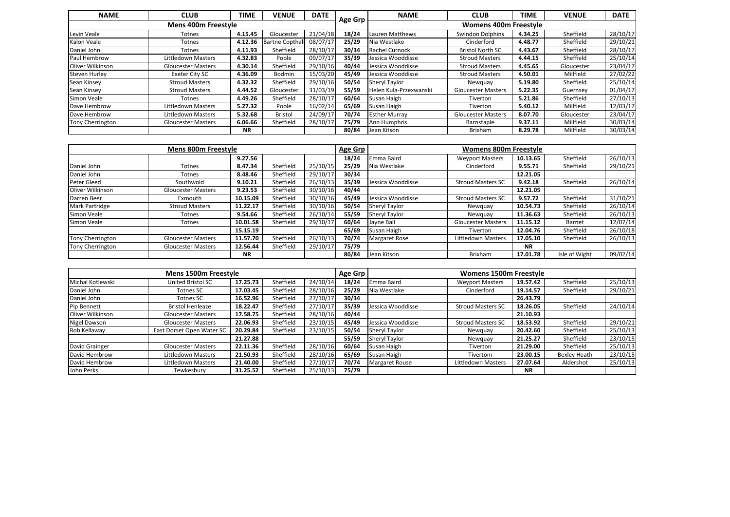| <b>NAME</b>             | <b>CLUB</b>                | TIME      | <b>VENUE</b>           | <b>DATE</b> |         | <b>NAME</b>            | <b>CLUB</b>                  | TIME    | <b>VENUE</b> | <b>DATE</b> |
|-------------------------|----------------------------|-----------|------------------------|-------------|---------|------------------------|------------------------------|---------|--------------|-------------|
|                         | <b>Mens 400m Freestyle</b> |           |                        |             | Age Grp |                        | <b>Womens 400m Freestyle</b> |         |              |             |
| Levin Veale             | Totnes                     | 4.15.45   | Gloucester             | 21/04/18    | 18/24   | Lauren Matthews        | Swindon Dolphins             | 4.34.25 | Sheffield    | 28/10/17    |
| Kalon Veale             | Totnes                     | 4.12.36   | <b>Bartne Copthall</b> | 08/07/17    | 25/29   | Nia Westlake           | Cinderford                   | 4.48.77 | Sheffield    | 29/10/21    |
| Daniel John             | Totnes                     | 4.11.93   | Sheffield              | 28/10/17    | 30/34   | <b>Rachel Curnock</b>  | <b>Bristol North SC</b>      | 4.43.67 | Sheffield    | 28/10/17    |
| Paul Hembrow            | Littledown Masters         | 4.32.83   | Poole                  | 09/07/17    | 35/39   | Jessica Wooddisse      | <b>Stroud Masters</b>        | 4.44.15 | Sheffield    | 25/10/14    |
| <b>Oliver Wilkinson</b> | <b>Gloucester Masters</b>  | 4.30.14   | Sheffield              | 29/10/16    | 40/44   | Jessica Wooddisse      | <b>Stroud Masters</b>        | 4.45.65 | Gloucester   | 23/04/17    |
| <b>Steven Hurley</b>    | Exeter City SC             | 4.36.09   | Bodmin                 | 15/03/20    | 45/49   | Jessica Wooddisse      | <b>Stroud Masters</b>        | 4.50.01 | Millfield    | 27/02/22    |
| Sean Kinsey             | <b>Stroud Masters</b>      | 4.32.32   | Sheffield              | 29/10/16    | 50/54   | Sheryl Taylor          | Newguay                      | 5.19.80 | Sheffield    | 25/10/14    |
| Sean Kinsey             | <b>Stroud Masters</b>      | 4.44.52   | Gloucester             | 31/03/19    | 55/59   | Helen Kula-Przexwanski | <b>Gloucester Masters</b>    | 5.22.35 | Guernsey     | 01/04/17    |
| Simon Veale             | Totnes                     | 4.49.26   | Sheffield              | 28/10/17    | 60/64   | Susan Haigh            | Tiverton                     | 5.21.86 | Sheffield    | 27/10/13    |
| Dave Hembrow            | Littledown Masters         | 5.27.32   | Poole                  | 16/02/14    | 65/69   | Susan Haigh            | Tiverton                     | 5.40.12 | Millfield    | 12/03/17    |
| Dave Hembrow            | Littledown Masters         | 5.32.68   | <b>Bristol</b>         | 24/09/17    | 70/74   | <b>Esther Murray</b>   | <b>Gloucester Masters</b>    | 8.07.70 | Gloucester   | 23/04/17    |
| <b>Tony Cherrington</b> | <b>Gloucester Masters</b>  | 6.06.66   | Sheffield              | 28/10/17    | 75/79   | Ann Humphris           | Barnstaple                   | 9.37.11 | Millfield    | 30/03/14    |
|                         |                            | <b>NR</b> |                        |             | 80/84   | Jean Kitson            | <b>Brixham</b>               | 8.29.78 | Millfield    | 30/03/14    |

|                       | <b>Mens 800m Freestyle</b> |           |           |          | Age Grp |                      | <b>Womens 800m Freestyle</b> |           |               |          |  |
|-----------------------|----------------------------|-----------|-----------|----------|---------|----------------------|------------------------------|-----------|---------------|----------|--|
|                       |                            | 9.27.56   |           |          | 18/24   | Emma Baird           | <b>Weyport Masters</b>       | 10.13.65  | Sheffield     | 26/10/13 |  |
| Daniel John           | <b>Totnes</b>              | 8.47.34   | Sheffield | 25/10/15 | 25/29   | Nia Westlake         | Cinderford                   | 9.55.71   | Sheffield     | 29/10/21 |  |
| Daniel John           | Totnes                     | 8.48.46   | Sheffield | 29/10/17 | 30/34   |                      |                              | 12.21.05  |               |          |  |
| Peter Gleed           | Southwold                  | 9.10.21   | Sheffield | 26/10/13 | 35/39   | Jessica Wooddisse    | <b>Stroud Masters SC</b>     | 9.42.18   | Sheffield     | 26/10/14 |  |
| Oliver Wilkinson      | <b>Gloucester Masters</b>  | 9.23.53   | Sheffield | 30/10/16 | 40/44   |                      |                              | 12.21.05  |               |          |  |
| Darren Beer           | Exmouth                    | 10.15.09  | Sheffield | 30/10/16 | 45/49   | Jessica Wooddisse    | <b>Stroud Masters SC</b>     | 9.57.72   | Sheffield     | 31/10/21 |  |
| <b>Mark Partridge</b> | <b>Stroud Masters</b>      | 11.22.17  | Sheffield | 30/10/16 | 50/54   | Sheryl Taylor        | Newguay                      | 10.54.73  | Sheffield     | 26/10/14 |  |
| Simon Veale           | <b>Totnes</b>              | 9.54.66   | Sheffield | 26/10/14 | 55/59   | Sheryl Taylor        | Newguay                      | 11.36.63  | Sheffield     | 26/10/13 |  |
| Simon Veale           | <b>Totnes</b>              | 10.01.58  | Sheffield | 29/10/17 | 60/64   | Jayne Ball           | <b>Gloucester Masters</b>    | 11.15.12  | Barnet        | 12/07/14 |  |
|                       |                            | 15.15.19  |           |          | 65/69   | Susan Haigh          | Tiverton                     | 12.04.76  | Sheffield     | 26/10/18 |  |
| Tony Cherrington      | <b>Gloucester Masters</b>  | 11.57.70  | Sheffield | 26/10/13 | 70/74   | <b>Margaret Rose</b> | Littledown Masters           | 17.05.10  | Sheffield     | 26/10/13 |  |
| Tony Cherrington      | <b>Gloucester Masters</b>  | 12.56.44  | Sheffield | 29/10/17 | 75/79   |                      |                              | <b>NR</b> |               |          |  |
|                       |                            | <b>NR</b> |           |          | 80/84   | Jean Kitson          | <b>Brixham</b>               | 17.01.78  | Isle of Wight | 09/02/14 |  |

|                  | Mens 1500m Freestyle      |          |           |          | Age Grp |                       | <b>Womens 1500m Freestyle</b> |           |              |          |
|------------------|---------------------------|----------|-----------|----------|---------|-----------------------|-------------------------------|-----------|--------------|----------|
| Michal Kotlewski | United Bristol SC         | 17.25.73 | Sheffield | 24/10/14 | 18/24   | Emma Baird            | <b>Weyport Masters</b>        | 19.57.42  | Sheffield    | 25/10/13 |
| Daniel John      | Totnes SC                 | 17.03.45 | Sheffield | 28/10/16 | 25/29   | Nia Westlake          | Cinderford                    | 19.14.57  | Sheffield    | 29/10/21 |
| Daniel John      | Totnes SC                 | 16.52.96 | Sheffield | 27/10/17 | 30/34   |                       |                               | 26.43.79  |              |          |
| Pip Bennett      | <b>Bristol Henleaze</b>   | 18.22.47 | Sheffield | 27/10/17 | 35/39   | Jessica Wooddisse     | <b>Stroud Masters SC</b>      | 18.26.05  | Sheffield    | 24/10/14 |
| Oliver Wilkinson | <b>Gloucester Masters</b> | 17.58.75 | Sheffield | 28/10/16 | 40/44   |                       |                               | 21.10.93  |              |          |
| Nigel Dawson     | <b>Gloucester Masters</b> | 22.06.93 | Sheffield | 23/10/15 | 45/49   | Jessica Wooddisse     | <b>Stroud Masters SC</b>      | 18.53.92  | Sheffield    | 29/10/21 |
| Rob Kellaway     | East Dorset Open Water SC | 20.29.84 | Sheffield | 23/10/15 | 50/54   | Sheryl Taylor         | Newguay                       | 20.42.60  | Sheffield    | 25/10/13 |
|                  |                           | 21.27.88 |           |          | 55/59   | Sheryl Taylor         | Newguay                       | 21.25.27  | Sheffield    | 23/10/15 |
| David Grainger   | <b>Gloucester Masters</b> | 22.11.36 | Sheffield | 28/10/16 | 60/64   | Susan Haigh           | Tiverton                      | 21.29.00  | Sheffield    | 25/10/13 |
| David Hembrow    | Littledown Masters        | 21.50.93 | Sheffield | 28/10/16 | 65/69   | Susan Haigh           | <b>Tivertom</b>               | 23.00.15  | Bexlev Heath | 23/10/15 |
| David Hembrow    | Littledown Masters        | 21.40.00 | Sheffield | 27/10/17 | 70/74   | <b>Margaret Rouse</b> | <b>Littledown Masters</b>     | 27.07.64  | Aldershot    | 25/10/13 |
| John Perks       | Tewkesbury                | 31.25.52 | Sheffield | 25/10/13 | 75/79   |                       |                               | <b>NR</b> |              |          |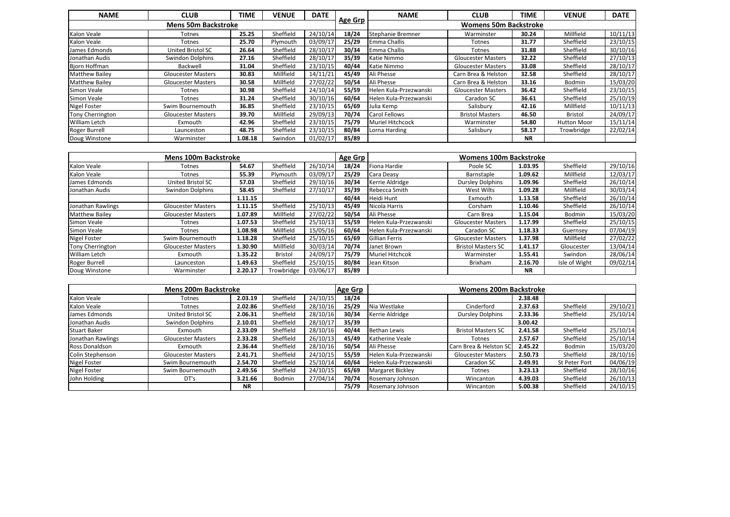| <b>NAME</b>           | <b>CLUB</b>                | TIME    | <b>VENUE</b> | <b>DATE</b> |         | <b>NAME</b>             | <b>CLUB</b>                  | TIME      | <b>VENUE</b>       | <b>DATE</b> |
|-----------------------|----------------------------|---------|--------------|-------------|---------|-------------------------|------------------------------|-----------|--------------------|-------------|
|                       | <b>Mens 50m Backstroke</b> |         |              |             | Age Grp |                         | <b>Womens 50m Backstroke</b> |           |                    |             |
| Kalon Veale           | Totnes                     | 25.25   | Sheffield    | 24/10/14    | 18/24   | Stephanie Bremner       | Warminster                   | 30.24     | Millfield          | 10/11/13    |
| Kalon Veale           | Totnes                     | 25.70   | Plymouth     | 03/09/17    | 25/29   | <b>Emma Challis</b>     | <b>Totnes</b>                | 31.77     | Sheffield          | 23/10/15    |
| James Edmonds         | United Bristol SC          | 26.64   | Sheffield    | 28/10/17    | 30/34   | <b>Emma Challis</b>     | <b>Totnes</b>                | 31.88     | Sheffield          | 30/10/16    |
| Jonathan Audis        | Swindon Dolphins           | 27.16   | Sheffield    | 28/10/17    | 35/39   | Katie Nimmo             | <b>Gloucester Masters</b>    | 32.22     | Sheffield          | 27/10/13    |
| Bjorn Hoffman         | Backwell                   | 31.04   | Sheffield    | 23/10/15    | 40/44   | Katie Nimmo             | <b>Gloucester Masters</b>    | 33.08     | Sheffield          | 28/10/17    |
| <b>Matthew Bailey</b> | <b>Gloucester Masters</b>  | 30.83   | Millfield    | 14/11/21    | 45/49   | Ali Phesse              | Carn Brea & Helston          | 32.58     | Sheffield          | 28/10/17    |
| <b>Matthew Bailey</b> | <b>Gloucester Masters</b>  | 30.58   | Millfield    | 27/02/22    | 50/54   | Ali Phesse              | Carn Brea & Helston          | 33.16     | Bodmin             | 15/03/20    |
| Simon Veale           | Totnes                     | 30.98   | Sheffield    | 24/10/14    | 55/59   | Helen Kula-Przezwanski  | <b>Gloucester Masters</b>    | 36.42     | Sheffield          | 23/10/15    |
| Simon Veale           | Totnes                     | 31.24   | Sheffield    | 30/10/16    | 60/64   | Helen Kula-Przezwanski  | Caradon SC                   | 36.61     | Sheffield          | 25/10/19    |
| <b>Nigel Foster</b>   | Swim Bournemouth           | 36.85   | Sheffield    | 23/10/15    | 65/69   | Julia Kemp              | Salisbury                    | 42.16     | Millfield          | 10/11/13    |
| Tony Cherrington      | <b>Gloucester Masters</b>  | 39.70   | Millfield    | 29/09/13    | 70/74   | Carol Fellows           | <b>Bristol Masters</b>       | 46.50     | <b>Bristol</b>     | 24/09/17    |
| William Letch         | Exmouth                    | 42.96   | Sheffield    | 23/10/15    | 75/79   | <b>Muriel Hitchcock</b> | Warminster                   | 54.80     | <b>Hutton Moor</b> | 15/11/14    |
| Roger Burrell         | Launceston                 | 48.75   | Sheffield    | 23/10/15    | 80/84   | Lorna Harding           | Salisbury                    | 58.17     | Trowbridge         | 22/02/14    |
| Doug Winstone         | Warminster                 | 1.08.18 | Swindon      | 01/02/17    | 85/89   |                         |                              | <b>NR</b> |                    |             |

|                       | <b>Mens 100m Backstroke</b> |         |            |          | Age Grp |                        | <b>Womens 100m Backstroke</b> |           |               |          |
|-----------------------|-----------------------------|---------|------------|----------|---------|------------------------|-------------------------------|-----------|---------------|----------|
| Kalon Veale           | Totnes                      | 54.67   | Sheffield  | 26/10/14 | 18/24   | Fiona Hardie           | Poole SC                      | 1.03.95   | Sheffield     | 29/10/16 |
| Kalon Veale           | Totnes                      | 55.39   | Plymouth   | 03/09/17 | 25/29   | Cara Deasy             | Barnstaple                    | 1.09.62   | Millfield     | 12/03/17 |
| James Edmonds         | United Bristol SC           | 57.03   | Sheffield  | 29/10/16 | 30/34   | Kerrie Aldridge        | <b>Dursley Dolphins</b>       | 1.09.96   | Sheffield     | 26/10/14 |
| Jonathan Audis        | Swindon Dolphins            | 58.45   | Sheffield  | 27/10/17 | 35/39   | Rebecca Smith          | West Wilts                    | 1.09.28   | Millfield     | 30/03/14 |
|                       |                             | 1.11.15 |            |          | 40/44   | Heidi Hunt             | Exmouth                       | 1.13.58   | Sheffield     | 26/10/14 |
| Jonathan Rawlings     | <b>Gloucester Masters</b>   | 1.11.15 | Sheffield  | 25/10/13 | 45/49   | Nicola Harris          | Corsham                       | 1.10.46   | Sheffield     | 26/10/14 |
| <b>Matthew Bailey</b> | <b>Gloucester Masters</b>   | 1.07.89 | Millfield  | 27/02/22 | 50/54   | Ali Phesse             | Carn Brea                     | 1.15.04   | Bodmin        | 15/03/20 |
| Simon Veale           | Totnes                      | 1.07.53 | Sheffield  | 25/10/13 | 55/59   | Helen Kula-Przezwanski | <b>Gloucester Masters</b>     | 1.17.99   | Sheffield     | 25/10/15 |
| Simon Veale           | Totnes                      | 1.08.98 | Millfield  | 15/05/16 | 60/64   | Helen Kula-Przezwanski | Caradon SC                    | 1.18.33   | Guernsey      | 07/04/19 |
| <b>Nigel Foster</b>   | Swim Bournemouth            | 1.18.28 | Sheffield  | 25/10/15 | 65/69   | Gillian Ferris         | <b>Gloucester Masters</b>     | 1.37.98   | Millfield     | 27/02/22 |
| Tony Cherrington      | <b>Gloucester Masters</b>   | 1.30.90 | Millfield  | 30/03/14 | 70/74   | Janet Brown            | <b>Bristol Masters SC</b>     | 1.41.17   | Gloucester    | 13/04/14 |
| <b>William Letch</b>  | Exmouth                     | 1.35.22 | Bristol    | 24/09/17 | 75/79   | <b>Muriel Hitchcok</b> | Warminster                    | 1.55.41   | Swindon       | 28/06/14 |
| Roger Burrell         | Launceston                  | 1.49.63 | Sheffield  | 25/10/15 | 80/84   | Jean Kitson            | Brixham                       | 2.16.70   | Isle of Wight | 09/02/14 |
| Doug Winstone         | Warminster                  | 2.20.17 | Trowbridge | 03/06/17 | 85/89   |                        |                               | <b>NR</b> |               |          |

|                     | <b>Mens 200m Backstroke</b> |           |           |          | <b>Age Grp</b> |                         | <b>Womens 200m Backstroke</b> |         |               |          |
|---------------------|-----------------------------|-----------|-----------|----------|----------------|-------------------------|-------------------------------|---------|---------------|----------|
| Kalon Veale         | Totnes                      | 2.03.19   | Sheffield | 24/10/15 | 18/24          |                         |                               | 2.38.48 |               |          |
| Kalon Veale         | Totnes                      | 2.02.86   | Sheffield | 28/10/16 | 25/29          | Nia Westlake            | Cinderford                    | 2.37.63 | Sheffield     | 29/10/21 |
| James Edmonds       | United Bristol SC           | 2.06.31   | Sheffield | 28/10/16 | 30/34          | Kerrie Aldridge         | <b>Dursley Dolphins</b>       | 2.33.36 | Sheffield     | 25/10/14 |
| Jonathan Audis      | Swindon Dolphins            | 2.10.01   | Sheffield | 28/10/17 | 35/39          |                         |                               | 3.00.42 |               |          |
| <b>Stuart Baker</b> | Exmouth                     | 2.33.09   | Sheffield | 28/10/16 | 40/44          | <b>Bethan Lewis</b>     | <b>Bristol Masters SC</b>     | 2.41.58 | Sheffield     | 25/10/14 |
| Jonathan Rawlings   | <b>Gloucester Masters</b>   | 2.33.28   | Sheffield | 26/10/13 | 45/49          | Katherine Veale         | Totnes                        | 2.57.67 | Sheffield     | 25/10/14 |
| Ross Donaldson      | Exmouth                     | 2.36.44   | Sheffield | 28/10/16 | 50/54          | Ali Phesse              | Carn Brea & Helston SO        | 2.45.22 | Bodmin        | 15/03/20 |
| Colin Stephenson    | <b>Gloucester Masters</b>   | 2.41.71   | Sheffield | 24/10/15 | 55/59          | Helen Kula-Przezwanski  | <b>Gloucester Masters</b>     | 2.50.73 | Sheffield     | 28/10/16 |
| <b>Nigel Foster</b> | Swim Bournemouth            | 2.54.70   | Sheffield | 25/10/14 | 60/64          | Helen Kula-Przezwanski  | Caradon SC                    | 2.49.91 | St Peter Port | 04/06/19 |
| <b>Nigel Foster</b> | Swim Bournemouth            | 2.49.56   | Sheffield | 24/10/15 | 65/69          | <b>Margaret Bickley</b> | Totnes                        | 3.23.13 | Sheffield     | 28/10/16 |
| John Holding        | DT's                        | 3.21.66   | Bodmin    | 27/04/14 | 70/74          | Rosemary Johnson        | Wincanton                     | 4.39.03 | Sheffield     | 26/10/13 |
|                     |                             | <b>NR</b> |           |          | 75/79          | Rosemary Johnson        | Wincanton                     | 5.00.38 | Sheffield     | 24/10/15 |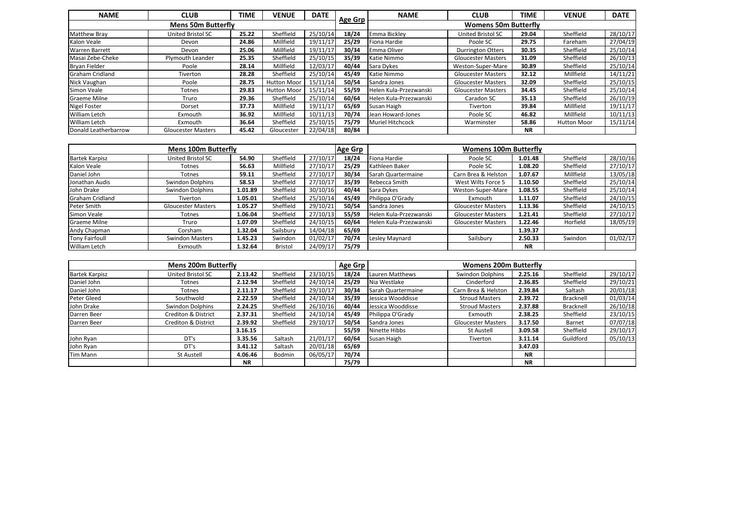| <b>NAME</b>            | <b>CLUB</b>               | TIME  | <b>VENUE</b>       | <b>DATE</b> |                | <b>NAME</b>             | <b>CLUB</b>                 | TIME      | <b>VENUE</b>       | <b>DATE</b> |
|------------------------|---------------------------|-------|--------------------|-------------|----------------|-------------------------|-----------------------------|-----------|--------------------|-------------|
|                        | <b>Mens 50m Butterfly</b> |       |                    |             | <b>Age Grp</b> |                         | <b>Womens 50m Butterfly</b> |           |                    |             |
| <b>Matthew Bray</b>    | United Bristol SC         | 25.22 | Sheffield          | 25/10/14    | 18/24          | Emma Bickley            | United Bristol SC           | 29.04     | Sheffield          | 28/10/17    |
| Kalon Veale            | Devon                     | 24.86 | Millfield          | 19/11/17    | 25/29          | Fiona Hardie            | Poole SC                    | 29.75     | Fareham            | 27/04/19    |
| <b>Warren Barrett</b>  | Devon                     | 25.06 | Millfield          | 19/11/17    | 30/34          | Emma Oliver             | <b>Durrington Otters</b>    | 30.35     | Sheffield          | 25/10/14    |
| Masai Zebe-Cheke       | Plymouth Leander          | 25.35 | Sheffield          | 25/10/15    | 35/39          | Katie Nimmo             | <b>Gloucester Masters</b>   | 31.09     | Sheffield          | 26/10/13    |
| Bryan Fielder          | Poole                     | 28.14 | Millfield          | 12/03/17    | 40/44          | Sara Dykes              | Weston-Super-Mare           | 30.89     | Sheffield          | 25/10/14    |
| <b>Graham Cridland</b> | Tiverton                  | 28.28 | Sheffield          | 25/10/14    | 45/49          | Katie Nimmo             | <b>Gloucester Masters</b>   | 32.12     | Millfield          | 14/11/21    |
| Nick Vaughan           | Poole                     | 28.75 | <b>Hutton Moor</b> | 15/11/14    | 50/54          | Sandra Jones            | <b>Gloucester Masters</b>   | 32.09     | Sheffield          | 25/10/15    |
| Simon Veale            | Totnes                    | 29.83 | <b>Hutton Moor</b> | 15/11/14    | 55/59          | Helen Kula-Przezwanski  | <b>Gloucester Masters</b>   | 34.45     | Sheffield          | 25/10/14    |
| <b>Graeme Milne</b>    | Truro                     | 29.36 | Sheffield          | 25/10/14    | 60/64          | Helen Kula-Przezwanski  | Caradon SC                  | 35.13     | Sheffield          | 26/10/19    |
| <b>Nigel Foster</b>    | Dorset                    | 37.73 | Millfield          | 19/11/17    | 65/69          | Susan Haigh             | Tiverton                    | 39.84     | Millfield          | 19/11/17    |
| <b>William Letch</b>   | Exmouth                   | 36.92 | Millfield          | 10/11/13    | 70/74          | Jean Howard-Jones       | Poole SC                    | 46.82     | Millfield          | 10/11/13    |
| <b>William Letch</b>   | Exmouth                   | 36.64 | Sheffield          | 25/10/15    | 75/79          | <b>Muriel Hitchcock</b> | Warminster                  | 58.86     | <b>Hutton Moor</b> | 15/11/14    |
| Donald Leatherbarrow   | <b>Gloucester Masters</b> | 45.42 | Gloucester         | 22/04/18    | 80/84          |                         |                             | <b>NR</b> |                    |             |

|                       | <b>Mens 100m Butterfly</b> |         |           |          | <b>Age Grp</b> |                        | <b>Womens 100m Butterfly</b> |           |           |          |
|-----------------------|----------------------------|---------|-----------|----------|----------------|------------------------|------------------------------|-----------|-----------|----------|
| <b>Bartek Karpisz</b> | United Bristol SC          | 54.90   | Sheffield | 27/10/17 | 18/24          | Fiona Hardie           | Poole SC                     | 1.01.48   | Sheffield | 28/10/16 |
| Kalon Veale           | Totnes                     | 56.63   | Millfield | 27/10/17 | 25/29          | Kathleen Baker         | Poole SC                     | 1.08.20   | Sheffield | 27/10/17 |
| Daniel John           | <b>Totnes</b>              | 59.11   | Sheffield | 27/10/17 | 30/34          | Sarah Quartermaine     | Carn Brea & Helston          | 1.07.67   | Millfield | 13/05/18 |
| Jonathan Audis        | Swindon Dolphins           | 58.53   | Sheffield | 27/10/17 | 35/39          | Rebecca Smith          | West Wilts Force 5           | 1.10.50   | Sheffield | 25/10/14 |
| John Drake            | Swindon Dolphins           | 1.01.89 | Sheffield | 30/10/16 | 40/44          | Sara Dykes             | Weston-Super-Mare            | 1.08.55   | Sheffield | 25/10/14 |
| Graham Cridland       | Tiverton                   | 1.05.01 | Sheffield | 25/10/14 | 45/49          | Philippa O'Grady       | Exmouth                      | 1.11.07   | Sheffield | 24/10/15 |
| Peter Smith           | <b>Gloucester Masters</b>  | 1.05.27 | Sheffield | 29/10/21 | 50/54          | Sandra Jones           | <b>Gloucester Masters</b>    | 1.13.36   | Sheffield | 24/10/15 |
| Simon Veale           | Totnes                     | 1.06.04 | Sheffield | 27/10/13 | 55/59          | Helen Kula-Przezwanski | <b>Gloucester Masters</b>    | 1.21.41   | Sheffield | 27/10/17 |
| <b>Graeme Milne</b>   | Truro                      | 1.07.09 | Sheffield | 24/10/15 | 60/64          | Helen Kula-Przezwanski | <b>Gloucester Masters</b>    | 1.22.46   | Horfield  | 18/05/19 |
| Andy Chapman          | Corsham                    | 1.32.04 | Sailsbury | 14/04/18 | 65/69          |                        |                              | 1.39.37   |           |          |
| <b>Tony Fairfoull</b> | <b>Swindon Masters</b>     | 1.45.23 | Swindon   | 01/02/17 | 70/74          | Lesley Maynard         | Sailsbury                    | 2.50.33   | Swindon   | 01/02/17 |
| William Letch         | Exmouth                    | 1.32.64 | Bristol   | 24/09/17 | 75/79          |                        |                              | <b>NR</b> |           |          |

|                       | <b>Mens 200m Butterfly</b>     |           |           |          | Age Grp |                    | <b>Womens 200m Butterfly</b> |           |           |          |
|-----------------------|--------------------------------|-----------|-----------|----------|---------|--------------------|------------------------------|-----------|-----------|----------|
| <b>Bartek Karpisz</b> | United Bristol SC              | 2.13.42   | Sheffield | 23/10/15 | 18/24   | Lauren Matthews    | Swindon Dolphins             | 2.25.16   | Sheffield | 29/10/17 |
| Daniel John           | Totnes                         | 2.12.94   | Sheffield | 24/10/14 | 25/29   | Nia Westlake       | Cinderford                   | 2.36.85   | Sheffield | 29/10/21 |
| Daniel John           | Totnes                         | 2.11.17   | Sheffield | 29/10/17 | 30/34   | Sarah Quartermaine | Carn Brea & Helston          | 2.39.84   | Saltash   | 20/01/18 |
| Peter Gleed           | Southwold                      | 2.22.59   | Sheffield | 24/10/14 | 35/39   | Jessica Wooddisse  | <b>Stroud Masters</b>        | 2.39.72   | Bracknell | 01/03/14 |
| John Drake            | Swindon Dolphins               | 2.24.25   | Sheffield | 26/10/16 | 40/44   | Jessica Wooddisse  | <b>Stroud Masters</b>        | 2.37.88   | Bracknell | 26/10/18 |
| Darren Beer           | <b>Crediton &amp; District</b> | 2.37.31   | Sheffield | 24/10/14 | 45/49   | Philippa O'Grady   | Exmouth                      | 2.38.25   | Sheffield | 23/10/15 |
| Darren Beer           | <b>Crediton &amp; District</b> | 2.39.92   | Sheffield | 29/10/17 | 50/54   | Sandra Jones       | <b>Gloucester Masters</b>    | 3.17.50   | Barnet    | 07/07/18 |
|                       |                                | 3.16.15   |           |          | 55/59   | Ninette Hibbs      | St Austell                   | 3.09.58   | Sheffield | 29/10/17 |
| John Ryan             | DT's                           | 3.35.56   | Saltash   | 21/01/17 | 60/64   | Susan Haigh        | Tiverton                     | 3.11.14   | Guildford | 05/10/13 |
| John Ryan             | DT's                           | 3.41.12   | Saltash   | 20/01/18 | 65/69   |                    |                              | 3.47.03   |           |          |
| Tim Mann              | St Austell                     | 4.06.46   | Bodmin    | 06/05/17 | 70/74   |                    |                              | <b>NR</b> |           |          |
|                       |                                | <b>NR</b> |           |          | 75/79   |                    |                              | <b>NR</b> |           |          |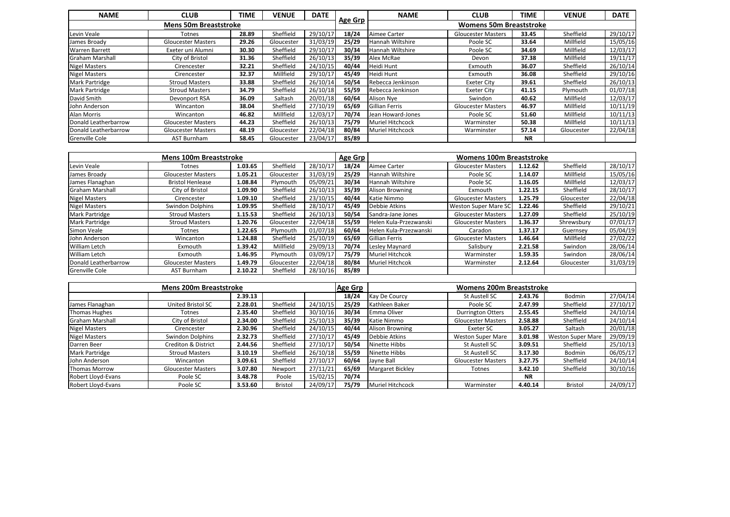| <b>NAME</b>                  | <b>CLUB</b>               | TIME  | <b>VENUE</b> | <b>DATE</b> |         | <b>NAME</b>             | <b>CLUB</b>                    | TIME      | <b>VENUE</b> | <b>DATE</b> |
|------------------------------|---------------------------|-------|--------------|-------------|---------|-------------------------|--------------------------------|-----------|--------------|-------------|
| <b>Mens 50m Breaststroke</b> |                           |       |              |             | Age Grp |                         | <b>Womens 50m Breaststroke</b> |           |              |             |
| Levin Veale                  | Totnes                    | 28.89 | Sheffield    | 29/10/17    | 18/24   | Aimee Carter            | <b>Gloucester Masters</b>      | 33.45     | Sheffield    | 29/10/17    |
| James Broady                 | <b>Gloucester Masters</b> | 29.26 | Gloucester   | 31/03/19    | 25/29   | Hannah Wiltshire        | Poole SC                       | 33.64     | Millfield    | 15/05/16    |
| <b>Warren Barrett</b>        | Exeter uni Alumni         | 30.30 | Sheffield    | 29/10/17    | 30/34   | Hannah Wiltshire        | Poole SC                       | 34.69     | Millfield    | 12/03/17    |
| <b>Graham Marshall</b>       | City of Bristol           | 31.36 | Sheffield    | 26/10/13    | 35/39   | Alex McRae              | Devon                          | 37.38     | Millfield    | 19/11/17    |
| <b>Nigel Masters</b>         | Cirencester               | 32.21 | Sheffield    | 24/10/15    | 40/44   | Heidi Hunt              | Exmouth                        | 36.07     | Sheffield    | 26/10/14    |
| <b>Nigel Masters</b>         | Cirencester               | 32.37 | Millfield    | 29/10/17    | 45/49   | Heidi Hunt              | Exmouth                        | 36.08     | Sheffield    | 29/10/16    |
| Mark Partridge               | <b>Stroud Masters</b>     | 33.88 | Sheffield    | 26/10/14    | 50/54   | Rebecca Jenkinson       | Exeter City                    | 39.61     | Sheffield    | 26/10/13    |
| Mark Partridge               | <b>Stroud Masters</b>     | 34.79 | Sheffield    | 26/10/18    | 55/59   | Rebecca Jenkinson       | Exeter City                    | 41.15     | Plymouth     | 01/07/18    |
| David Smith                  | Devonport RSA             | 36.09 | Saltash      | 20/01/18    | 60/64   | Alison Nye              | Swindon                        | 40.62     | Millfield    | 12/03/17    |
| John Anderson                | Wincanton                 | 38.04 | Sheffield    | 27/10/19    | 65/69   | Gillian Ferris          | <b>Gloucester Masters</b>      | 46.97     | Millfield    | 10/11/19    |
| Alan Morris                  | Wincanton                 | 46.82 | Millfield    | 12/03/17    | 70/74   | Jean Howard-Jones       | Poole SC                       | 51.60     | Millfield    | 10/11/13    |
| Donald Leatherbarrow         | <b>Gloucester Masters</b> | 44.23 | Sheffield    | 26/10/13    | 75/79   | <b>Muriel Hitchcock</b> | Warminster                     | 50.38     | Millfield    | 10/11/13    |
| Donald Leatherbarrow         | <b>Gloucester Masters</b> | 48.19 | Gloucester   | 22/04/18    | 80/84   | Muriel Hitchcock        | Warminster                     | 57.14     | Gloucester   | 22/04/18    |
| <b>Grenville Cole</b>        | AST Burnham               | 58.45 | Gloucester   | 23/04/17    | 85/89   |                         |                                | <b>NR</b> |              |             |

| <b>Mens 100m Breaststroke</b> |                           |         |            |          | Age Grp | <b>Womens 100m Breaststroke</b> |                           |         |            |          |
|-------------------------------|---------------------------|---------|------------|----------|---------|---------------------------------|---------------------------|---------|------------|----------|
| Levin Veale                   | Totnes                    | 1.03.65 | Sheffield  | 28/10/17 | 18/24   | Aimee Carter                    | <b>Gloucester Masters</b> | 1.12.62 | Sheffield  | 28/10/17 |
| James Broady                  | <b>Gloucester Masters</b> | 1.05.21 | Gloucester | 31/03/19 | 25/29   | Hannah Wiltshire                | Poole SC                  | 1.14.07 | Millfield  | 15/05/16 |
| James Flanaghan               | <b>Bristol Henlease</b>   | 1.08.84 | Plymouth   | 05/09/21 | 30/34   | Hannah Wiltshire                | Poole SC                  | 1.16.05 | Millfield  | 12/03/17 |
| Graham Marshall               | City of Bristol           | 1.09.90 | Sheffield  | 26/10/13 | 35/39   | Alison Browning                 | Exmouth                   | 1.22.15 | Sheffield  | 28/10/17 |
| <b>Nigel Masters</b>          | Cirencester               | 1.09.10 | Sheffield  | 23/10/15 | 40/44   | Katie Nimmo                     | <b>Gloucester Masters</b> | 1.25.79 | Gloucester | 22/04/18 |
| <b>Nigel Masters</b>          | Swindon Dolphins          | 1.09.95 | Sheffield  | 28/10/17 | 45/49   | Debbie Atkins                   | Weston Super Mare SC      | 1.22.46 | Sheffield  | 29/10/21 |
| <b>Mark Partridge</b>         | <b>Stroud Masters</b>     | 1.15.53 | Sheffield  | 26/10/13 | 50/54   | Sandra-Jane Jones               | <b>Gloucester Masters</b> | 1.27.09 | Sheffield  | 25/10/19 |
| <b>Mark Partridge</b>         | <b>Stroud Masters</b>     | 1.20.76 | Gloucester | 22/04/18 | 55/59   | Helen Kula-Przezwanski          | <b>Gloucester Masters</b> | 1.36.37 | Shrewsbury | 07/01/17 |
| Simon Veale                   | Totnes                    | 1.22.65 | Plymouth   | 01/07/18 | 60/64   | Helen Kula-Przezwanski          | Caradon                   | 1.37.17 | Guernsey   | 05/04/19 |
| John Anderson                 | Wincanton                 | 1.24.88 | Sheffield  | 25/10/19 | 65/69   | Gillian Ferris                  | <b>Gloucester Masters</b> | 1.46.64 | Millfield  | 27/02/22 |
| William Letch                 | Exmouth                   | 1.39.42 | Millfield  | 29/09/13 | 70/74   | Lesley Maynard                  | Salisbury                 | 2.21.58 | Swindon    | 28/06/14 |
| <b>William Letch</b>          | Exmouth                   | 1.46.95 | Plymouth   | 03/09/17 | 75/79   | Muriel Hitchcok                 | Warminster                | 1.59.35 | Swindon    | 28/06/14 |
| Donald Leatherbarrow          | <b>Gloucester Masters</b> | 1.49.79 | Gloucester | 22/04/18 | 80/84   | Muriel Hitchcok                 | Warminster                | 2.12.64 | Gloucester | 31/03/19 |
| <b>Grenville Cole</b>         | AST Burnham               | 2.10.22 | Sheffield  | 28/10/16 | 85/89   |                                 |                           |         |            |          |

| <b>Mens 200m Breaststroke</b> |                           |         |                | Age Grp  | <b>Womens 200m Breaststroke</b> |                         |                           |           |                          |          |
|-------------------------------|---------------------------|---------|----------------|----------|---------------------------------|-------------------------|---------------------------|-----------|--------------------------|----------|
|                               |                           | 2.39.13 |                |          | 18/24                           | <b>Kay De Courcy</b>    | St Austell SC             | 2.43.76   | Bodmin                   | 27/04/14 |
| James Flanaghan               | United Bristol SC         | 2.28.01 | Sheffield      | 24/10/15 | 25/29                           | Kathleen Baker          | Poole SC                  | 2.47.99   | Sheffield                | 27/10/17 |
| <b>Thomas Hughes</b>          | Totnes                    | 2.35.40 | Sheffield      | 30/10/16 | 30/34                           | Emma Oliver             | <b>Durrington Otters</b>  | 2.55.45   | Sheffield                | 24/10/14 |
| Graham Marshall               | City of Bristol           | 2.34.00 | Sheffield      | 25/10/13 | 35/39                           | Katie Nimmo             | <b>Gloucester Masters</b> | 2.58.88   | Sheffield                | 24/10/14 |
| Nigel Masters                 | Cirencester               | 2.30.96 | Sheffield      | 24/10/15 | 40/44                           | <b>Alison Browning</b>  | Exeter SC                 | 3.05.27   | Saltash                  | 20/01/18 |
| <b>Nigel Masters</b>          | Swindon Dolphins          | 2.32.73 | Sheffield      | 27/10/17 | 45/49                           | Debbie Atkins           | <b>Weston Super Mare</b>  | 3.01.98   | <b>Weston Super Mare</b> | 29/09/19 |
| Darren Beer                   | Crediton & District       | 2.44.56 | Sheffield      | 27/10/17 | 50/54                           | Ninette Hibbs           | St Austell SC             | 3.09.51   | Sheffield                | 25/10/13 |
| Mark Partridge                | <b>Stroud Masters</b>     | 3.10.19 | Sheffield      | 26/10/18 | 55/59                           | Ninette Hibbs           | St Austell SC             | 3.17.30   | Bodmin                   | 06/05/17 |
| John Anderson                 | Wincanton                 | 3.09.61 | Sheffield      | 27/10/17 | 60/64                           | Jayne Ball              | <b>Gloucester Masters</b> | 3.27.75   | Sheffield                | 24/10/14 |
| Thomas Morrow                 | <b>Gloucester Masters</b> | 3.07.80 | Newport        | 27/11/21 | 65/69                           | <b>Margaret Bickley</b> | <b>Totnes</b>             | 3.42.10   | Sheffield                | 30/10/16 |
| Robert Lloyd-Evans            | Poole SC                  | 3.48.78 | Poole          | 15/02/15 | 70/74                           |                         |                           | <b>NR</b> |                          |          |
| Robert Lloyd-Evans            | Poole SC                  | 3.53.60 | <b>Bristol</b> | 24/09/17 | 75/79                           | Muriel Hitchcock        | Warminster                | 4.40.14   | Bristol                  | 24/09/17 |